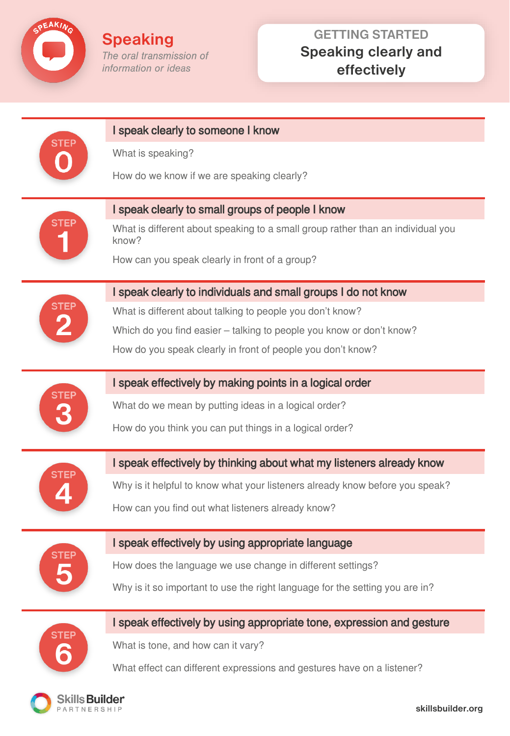

PARTNERSHIP

**Speaking** The oral transmission of information or ideas

# **GETTING STARTED Speaking clearly and effectively**

| STEF           | I speak clearly to someone I know                                                        |
|----------------|------------------------------------------------------------------------------------------|
|                | What is speaking?                                                                        |
|                | How do we know if we are speaking clearly?                                               |
| STEP           | I speak clearly to small groups of people I know                                         |
|                | What is different about speaking to a small group rather than an individual you<br>know? |
|                | How can you speak clearly in front of a group?                                           |
|                | I speak clearly to individuals and small groups I do not know                            |
|                | What is different about talking to people you don't know?                                |
|                | Which do you find easier - talking to people you know or don't know?                     |
|                | How do you speak clearly in front of people you don't know?                              |
|                | I speak effectively by making points in a logical order                                  |
|                | What do we mean by putting ideas in a logical order?                                     |
|                | How do you think you can put things in a logical order?                                  |
|                | I speak effectively by thinking about what my listeners already know                     |
|                | Why is it helpful to know what your listeners already know before you speak?             |
|                | How can you find out what listeners already know?                                        |
|                | I speak effectively by using appropriate language                                        |
|                | How does the language we use change in different settings?                               |
|                | Why is it so important to use the right language for the setting you are in?             |
| STEP           | I speak effectively by using appropriate tone, expression and gesture                    |
|                | What is tone, and how can it vary?                                                       |
|                | What effect can different expressions and gestures have on a listener?                   |
| Skills Builder |                                                                                          |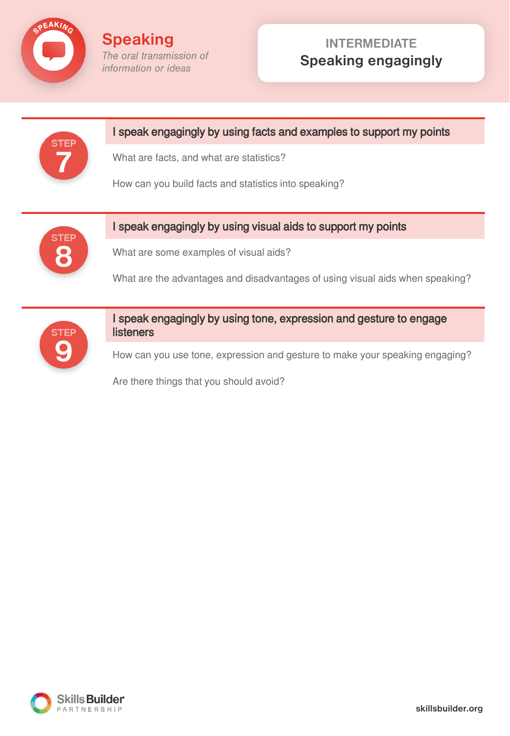

## **INTERMEDIATE Speaking engagingly**



How can you use tone, expression and gesture to make your speaking engaging?

Are there things that you should avoid?

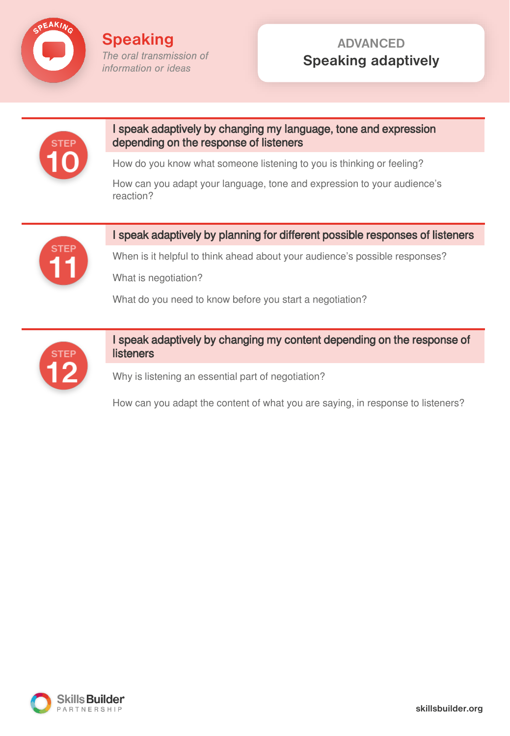

**Speaking** The oral transmission of information or ideas

## **ADVANCED Speaking adaptively**



#### I speak adaptively by changing my language, tone and expression depending on the response of listeners

How do you know what someone listening to you is thinking or feeling?

How can you adapt your language, tone and expression to your audience's reaction?



### I speak adaptively by planning for different possible responses of listeners

When is it helpful to think ahead about your audience's possible responses?

What is negotiation?

What do you need to know before you start a negotiation?



### I speak adaptively by changing my content depending on the response of **listeners**

Why is listening an essential part of negotiation?

How can you adapt the content of what you are saying, in response to listeners?